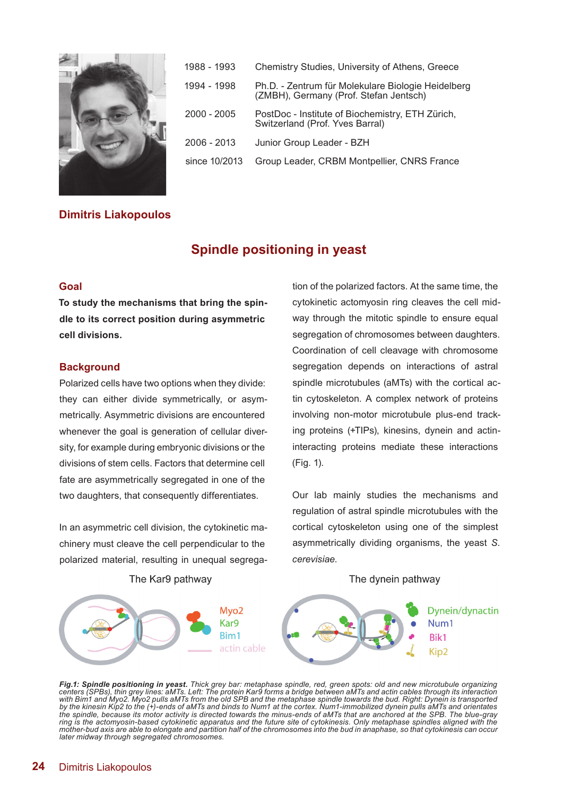

| 1988 - 1993   | Chemistry Studies, University of Athens, Greece                                              |
|---------------|----------------------------------------------------------------------------------------------|
| 1994 - 1998   | Ph.D. - Zentrum für Molekulare Biologie Heidelberg<br>(ZMBH), Germany (Prof. Stefan Jentsch) |
| $2000 - 2005$ | PostDoc - Institute of Biochemistry, ETH Zürich,<br>Switzerland (Prof. Yves Barral)          |
| $2006 - 2013$ | Junior Group Leader - BZH                                                                    |
| since 10/2013 | Group Leader, CRBM Montpellier, CNRS France                                                  |

## **Dimitris Liakopoulos**

# **Spindle positioning in yeast**

## **Goal**

**To study the mechanisms that bring the spindle to its correct position during asymmetric cell divisions.**

### **Background**

Polarized cells have two options when they divide: they can either divide symmetrically, or asymmetrically. Asymmetric divisions are encountered whenever the goal is generation of cellular diversity, for example during embryonic divisions or the divisions of stem cells. Factors that determine cell fate are asymmetrically segregated in one of the two daughters, that consequently differentiates.

In an asymmetric cell division, the cytokinetic machinery must cleave the cell perpendicular to the polarized material, resulting in unequal segrega-

The Kar9 pathway

tion of the polarized factors. At the same time, the cytokinetic actomyosin ring cleaves the cell midway through the mitotic spindle to ensure equal segregation of chromosomes between daughters. Coordination of cell cleavage with chromosome segregation depends on interactions of astral spindle microtubules (aMTs) with the cortical actin cytoskeleton. A complex network of proteins involving non-motor microtubule plus-end tracking proteins (+TIPs), kinesins, dynein and actininteracting proteins mediate these interactions (Fig. 1).

Our lab mainly studies the mechanisms and regulation of astral spindle microtubules with the cortical cytoskeleton using one of the simplest asymmetrically dividing organisms, the yeast *S. cerevisiae*.

The dynein pathway



**Fig.1: Spindle positioning in yeast.** Thick grey bar: metaphase spindle, red, green spots: old and new microtubule organizing<br>centers (SPBs), thin grey lines: aMTs. Left: The protein Kar9 forms a bridge between aMTs and a *with Bim1 and Myo2. Myo2 pulls aMTs from the old SPB and the metaphase spindle towards the bud. Right: Dynein is transported by the kinesin Kip2 to the (+)-ends of aMTs and binds to Num1 at the cortex. Num1-immobilized dynein pulls aMTs and orientates the spindle, because its motor activity is directed towards the minus-ends of aMTs that are anchored at the SPB. The blue-gray ring is the actomyosin-based cytokinetic apparatus and the future site of cytokinesis. Only metaphase spindles aligned with the mother-bud axis are able to elongate and partition half of the chromosomes into the bud in anaphase, so that cytokinesis can occur later midway through segregated chromosomes.*